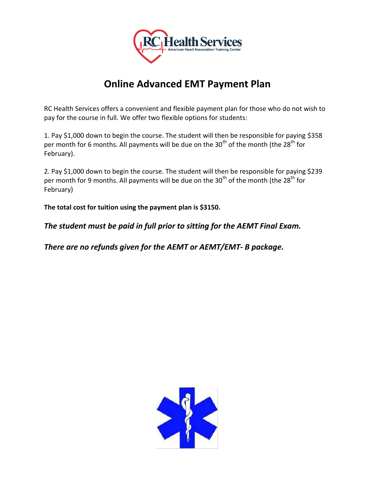

## **Online Advanced EMT Payment Plan**

RC Health Services offers a convenient and flexible payment plan for those who do not wish to pay for the course in full. We offer two flexible options for students:

1. Pay \$1,000 down to begin the course. The student will then be responsible for paying \$358 per month for 6 months. All payments will be due on the  $30<sup>th</sup>$  of the month (the  $28<sup>th</sup>$  for February).

2. Pay \$1,000 down to begin the course. The student will then be responsible for paying \$239 per month for 9 months. All payments will be due on the  $30<sup>th</sup>$  of the month (the 28<sup>th</sup> for February)

**The total cost for tuition using the payment plan is \$3150.**

*The student must be paid in full prior to sitting for the AEMT Final Exam.*

*There are no refunds given for the AEMT or AEMT/EMT- B package.*

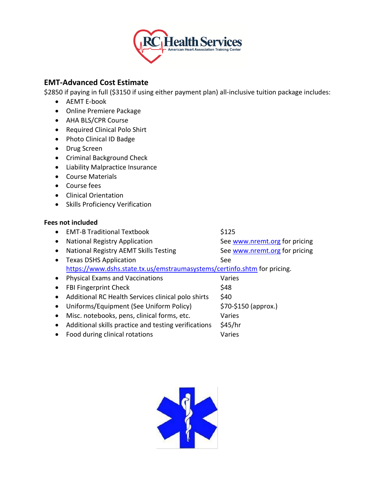

## **EMT-Advanced Cost Estimate**

\$2850 if paying in full (\$3150 if using either payment plan) all-inclusive tuition package includes:

- AEMT E-book
- Online Premiere Package
- AHA BLS/CPR Course
- Required Clinical Polo Shirt
- Photo Clinical ID Badge
- Drug Screen
- Criminal Background Check
- Liability Malpractice Insurance
- Course Materials
- Course fees
- Clinical Orientation
- Skills Proficiency Verification

## **Fees not included**

- EMT-B Traditional Textbook \$125
	-
- 

- National Registry Application See [www.nremt.org](http://www.nremt.org/) for pricing • National Registry AEMT Skills Testing See [www.nremt.org](http://www.nremt.org/) for pricing • Texas DSHS Application See <https://www.dshs.state.tx.us/emstraumasystems/certinfo.shtm> for pricing.
- Physical Exams and Vaccinations varies • FBI Fingerprint Check \$48 • Additional RC Health Services clinical polo shirts  $$40$
- Uniforms/Equipment (See Uniform Policy)  $\qquad \qquad$  \$70-\$150 (approx.)
- Misc. notebooks, pens, clinical forms, etc. Varies
- Additional skills practice and testing verifications \$45/hr
- Food during clinical rotations Varies